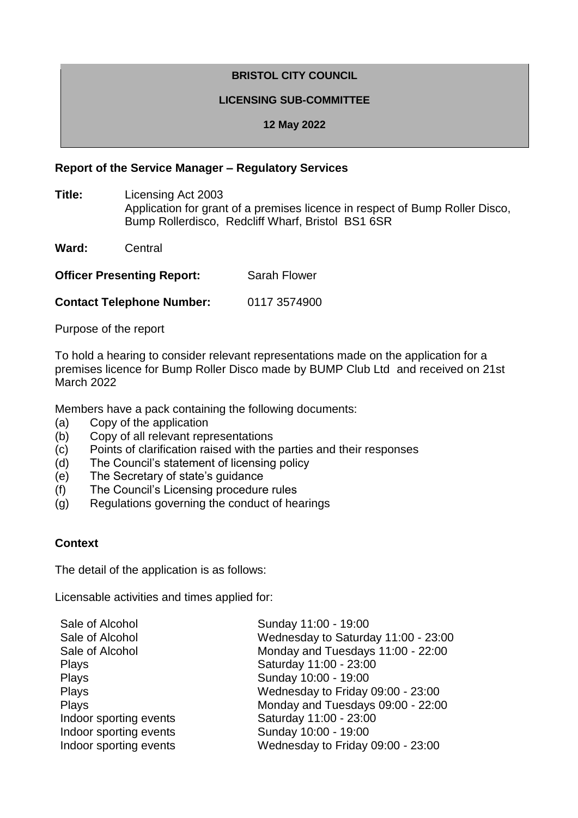# **BRISTOL CITY COUNCIL**

#### **LICENSING SUB-COMMITTEE**

**12 May 2022**

#### **Report of the Service Manager – Regulatory Services**

- **Title:** Licensing Act 2003 Application for grant of a premises licence in respect of Bump Roller Disco, Bump Rollerdisco, Redcliff Wharf, Bristol BS1 6SR
- **Ward:** Central

**Officer Presenting Report:** Sarah Flower

**Contact Telephone Number:** 0117 3574900

Purpose of the report

To hold a hearing to consider relevant representations made on the application for a premises licence for Bump Roller Disco made by BUMP Club Ltd and received on 21st March 2022

Members have a pack containing the following documents:

- (a) Copy of the application
- (b) Copy of all relevant representations
- (c) Points of clarification raised with the parties and their responses
- (d) The Council's statement of licensing policy
- (e) The Secretary of state's guidance
- (f) The Council's Licensing procedure rules
- (g) Regulations governing the conduct of hearings

### **Context**

The detail of the application is as follows:

Licensable activities and times applied for:

| Sunday 11:00 - 19:00                |
|-------------------------------------|
| Wednesday to Saturday 11:00 - 23:00 |
| Monday and Tuesdays 11:00 - 22:00   |
| Saturday 11:00 - 23:00              |
| Sunday 10:00 - 19:00                |
| Wednesday to Friday 09:00 - 23:00   |
| Monday and Tuesdays 09:00 - 22:00   |
| Saturday 11:00 - 23:00              |
| Sunday 10:00 - 19:00                |
| Wednesday to Friday 09:00 - 23:00   |
|                                     |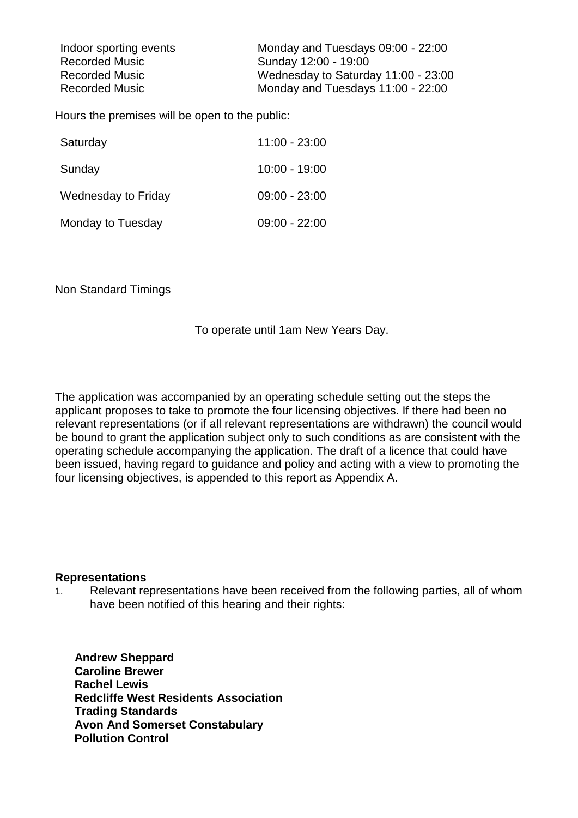| Indoor sporting events | Monday and Tuesdays 09:00 - 22:00   |
|------------------------|-------------------------------------|
| <b>Recorded Music</b>  | Sunday 12:00 - 19:00                |
| <b>Recorded Music</b>  | Wednesday to Saturday 11:00 - 23:00 |
| <b>Recorded Music</b>  | Monday and Tuesdays 11:00 - 22:00   |

Hours the premises will be open to the public:

| Saturday            | $11:00 - 23:00$ |
|---------------------|-----------------|
| Sunday              | $10:00 - 19:00$ |
| Wednesday to Friday | $09:00 - 23:00$ |
| Monday to Tuesday   | $09:00 - 22:00$ |

Non Standard Timings

To operate until 1am New Years Day.

The application was accompanied by an operating schedule setting out the steps the applicant proposes to take to promote the four licensing objectives. If there had been no relevant representations (or if all relevant representations are withdrawn) the council would be bound to grant the application subject only to such conditions as are consistent with the operating schedule accompanying the application. The draft of a licence that could have been issued, having regard to guidance and policy and acting with a view to promoting the four licensing objectives, is appended to this report as Appendix A.

#### **Representations**

1. Relevant representations have been received from the following parties, all of whom have been notified of this hearing and their rights:

 **Andrew Sheppard Caroline Brewer Rachel Lewis Redcliffe West Residents Association Trading Standards Avon And Somerset Constabulary Pollution Control**